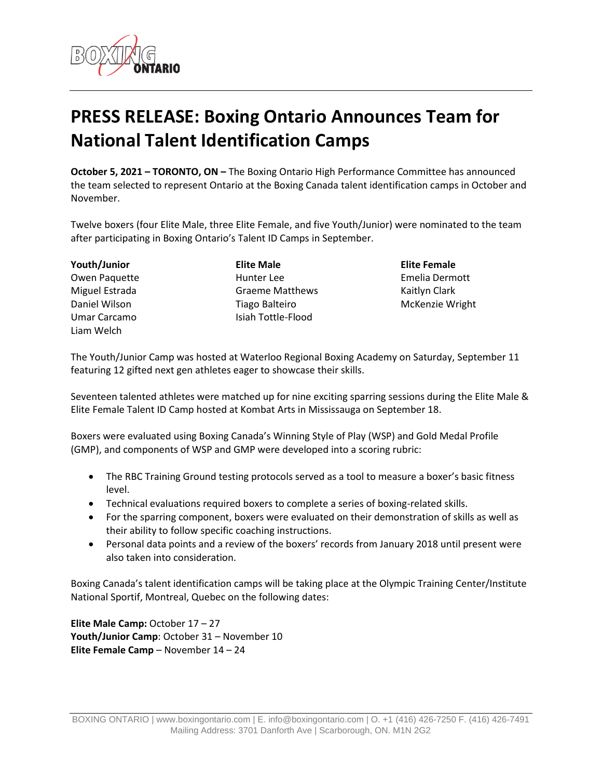

## **PRESS RELEASE: Boxing Ontario Announces Team for National Talent Identification Camps**

**October 5, 2021 – TORONTO, ON –** The Boxing Ontario High Performance Committee has announced the team selected to represent Ontario at the Boxing Canada talent identification camps in October and November.

Twelve boxers (four Elite Male, three Elite Female, and five Youth/Junior) were nominated to the team after participating in Boxing Ontario's Talent ID Camps in September.

**Youth/Junior** Owen Paquette Miguel Estrada Daniel Wilson Umar Carcamo Liam Welch

**Elite Male** Hunter Lee Graeme Matthews Tiago Balteiro Isiah Tottle-Flood

**Elite Female** Emelia Dermott Kaitlyn Clark McKenzie Wright

The Youth/Junior Camp was hosted at Waterloo Regional Boxing Academy on Saturday, September 11 featuring 12 gifted next gen athletes eager to showcase their skills.

Seventeen talented athletes were matched up for nine exciting sparring sessions during the Elite Male & Elite Female Talent ID Camp hosted at Kombat Arts in Mississauga on September 18.

Boxers were evaluated using Boxing Canada's Winning Style of Play (WSP) and Gold Medal Profile (GMP), and components of WSP and GMP were developed into a scoring rubric:

- The RBC Training Ground testing protocols served as a tool to measure a boxer's basic fitness level.
- Technical evaluations required boxers to complete a series of boxing-related skills.
- For the sparring component, boxers were evaluated on their demonstration of skills as well as their ability to follow specific coaching instructions.
- Personal data points and a review of the boxers' records from January 2018 until present were also taken into consideration.

Boxing Canada's talent identification camps will be taking place at the Olympic Training Center/Institute National Sportif, Montreal, Quebec on the following dates:

**Elite Male Camp:** October 17 – 27 **Youth/Junior Camp**: October 31 – November 10 **Elite Female Camp** – November 14 – 24